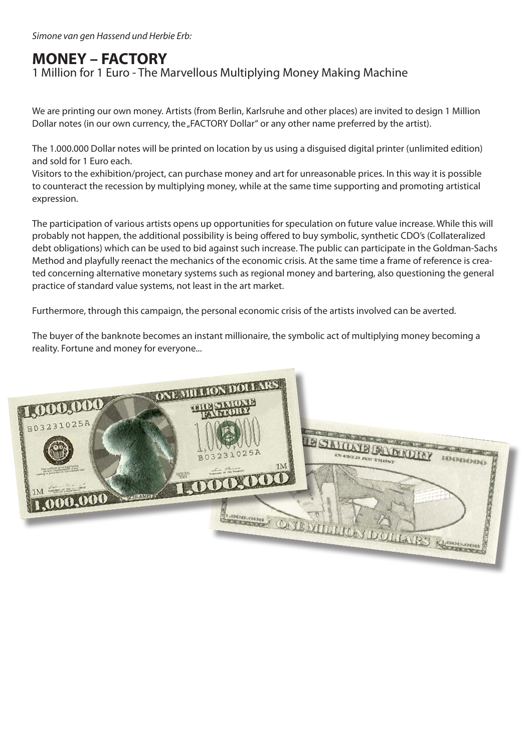# **MONEY – FACTORY**

#### 1 Million for 1 Euro - The Marvellous Multiplying Money Making Machine

We are printing our own money. Artists (from Berlin, Karlsruhe and other places) are invited to design 1 Million Dollar notes (in our own currency, the "FACTORY Dollar" or any other name preferred by the artist).

The 1.000.000 Dollar notes will be printed on location by us using a disguised digital printer (unlimited edition) and sold for 1 Euro each.

Visitors to the exhibition/project, can purchase money and art for unreasonable prices. In this way it is possible to counteract the recession by multiplying money, while at the same time supporting and promoting artistical expression.

The participation of various artists opens up opportunities for speculation on future value increase. While this will probably not happen, the additional possibility is being offered to buy symbolic, synthetic CDO's (Collateralized debt obligations) which can be used to bid against such increase. The public can participate in the Goldman-Sachs Method and playfully reenact the mechanics of the economic crisis. At the same time a frame of reference is created concerning alternative monetary systems such as regional money and bartering, also questioning the general practice of standard value systems, not least in the art market.

Furthermore, through this campaign, the personal economic crisis of the artists involved can be averted.

The buyer of the banknote becomes an instant millionaire, the symbolic act of multiplying money becoming a reality. Fortune and money for everyone...

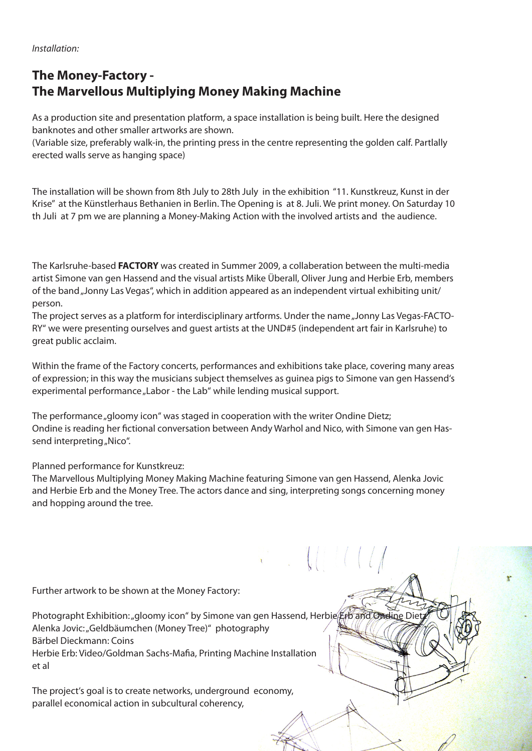*Installation:* 

### **The Money-Factory - The Marvellous Multiplying Money Making Machine**

As a production site and presentation platform, a space installation is being built. Here the designed banknotes and other smaller artworks are shown.

(Variable size, preferably walk-in, the printing press in the centre representing the golden calf. Partlally erected walls serve as hanging space)

The installation will be shown from 8th July to 28th July in the exhibition "11. Kunstkreuz, Kunst in der Krise" at the Künstlerhaus Bethanien in Berlin. The Opening is at 8. Juli. We print money. On Saturday 10 th Juli at 7 pm we are planning a Money-Making Action with the involved artists and the audience.

The Karlsruhe-based **FACTORY** was created in Summer 2009, a collaberation between the multi-media artist Simone van gen Hassend and the visual artists Mike Überall, Oliver Jung and Herbie Erb, members of the band "Jonny Las Vegas", which in addition appeared as an independent virtual exhibiting unit/ person.

The project serves as a platform for interdisciplinary artforms. Under the name "Jonny Las Vegas-FACTO-RY" we were presenting ourselves and guest artists at the UND#5 (independent art fair in Karlsruhe) to great public acclaim.

Within the frame of the Factory concerts, performances and exhibitions take place, covering many areas of expression; in this way the musicians subject themselves as guinea pigs to Simone van gen Hassend's experimental performance "Labor - the Lab" while lending musical support.

The performance "gloomy icon" was staged in cooperation with the writer Ondine Dietz; Ondine is reading her fictional conversation between Andy Warhol and Nico, with Simone van gen Hassend interpreting "Nico".

#### Planned performance for Kunstkreuz:

The Marvellous Multiplying Money Making Machine featuring Simone van gen Hassend, Alenka Jovic and Herbie Erb and the Money Tree. The actors dance and sing, interpreting songs concerning money and hopping around the tree.

 $\mathcal{L}$  ,  $\mathcal{L}$  ,  $\mathcal{L}$  ,  $\mathcal{L}$  ,  $\mathcal{L}$  ,  $\mathcal{L}$ 

Further artwork to be shown at the Money Factory:

Photographt Exhibition: "gloomy icon" by Simone van gen Hassend, Herbie Erb and Ondine Die Alenka Jovic: "Geldbäumchen (Money Tree)" photography Bärbel Dieckmann: Coins Herbie Erb: Video/Goldman Sachs-Mafia, Printing Machine Installation et al

The project's goal is to create networks, underground economy, parallel economical action in subcultural coherency,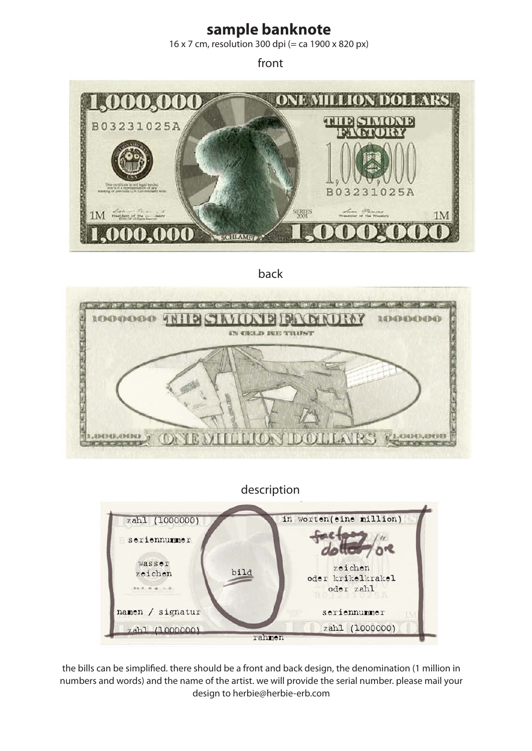## **sample banknote**

16 x 7 cm, resolution 300 dpi (= ca 1900 x 820 px)

front



back



description



the bills can be simplified. there should be a front and back design, the denomination (1 million in numbers and words) and the name of the artist. we will provide the serial number. please mail your design to herbie@herbie-erb.com